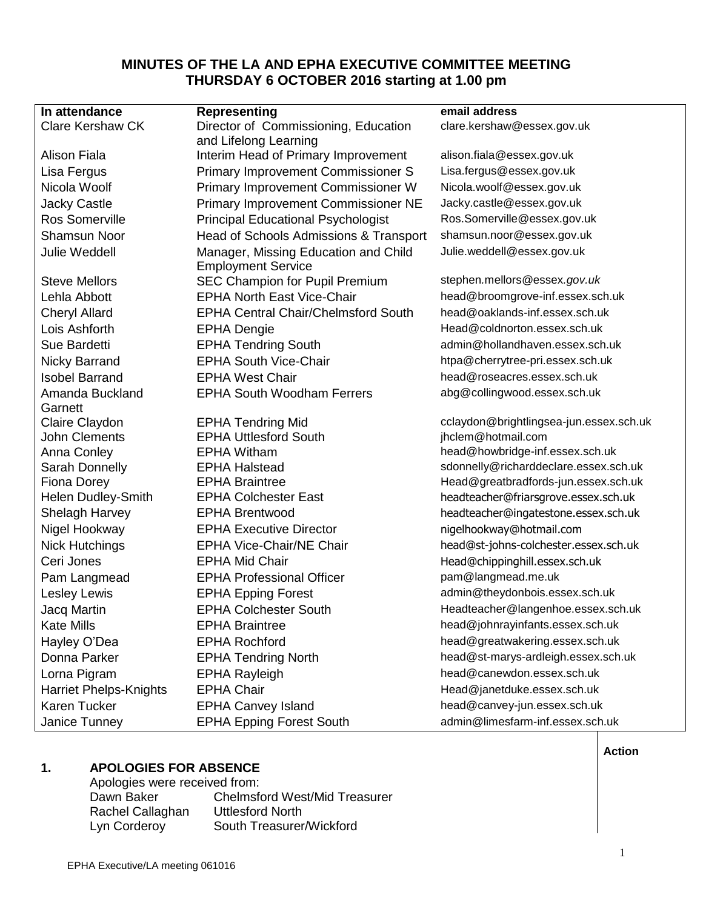# **MINUTES OF THE LA AND EPHA EXECUTIVE COMMITTEE MEETING THURSDAY 6 OCTOBER 2016 starting at 1.00 pm**

| In attendance                 | <b>Representing</b>                        | email address                           |
|-------------------------------|--------------------------------------------|-----------------------------------------|
| <b>Clare Kershaw CK</b>       | Director of Commissioning, Education       | clare.kershaw@essex.gov.uk              |
|                               | and Lifelong Learning                      |                                         |
| Alison Fiala                  | Interim Head of Primary Improvement        | alison.fiala@essex.gov.uk               |
| Lisa Fergus                   | <b>Primary Improvement Commissioner S</b>  | Lisa.fergus@essex.gov.uk                |
| Nicola Woolf                  | Primary Improvement Commissioner W         | Nicola.woolf@essex.gov.uk               |
| <b>Jacky Castle</b>           | <b>Primary Improvement Commissioner NE</b> | Jacky.castle@essex.gov.uk               |
| Ros Somerville                | <b>Principal Educational Psychologist</b>  | Ros.Somerville@essex.gov.uk             |
| <b>Shamsun Noor</b>           | Head of Schools Admissions & Transport     | shamsun.noor@essex.gov.uk               |
| <b>Julie Weddell</b>          | Manager, Missing Education and Child       | Julie.weddell@essex.gov.uk              |
|                               | <b>Employment Service</b>                  |                                         |
| <b>Steve Mellors</b>          | SEC Champion for Pupil Premium             | stephen.mellors @essex.gov.uk           |
| Lehla Abbott                  | <b>EPHA North East Vice-Chair</b>          | head@broomgrove-inf.essex.sch.uk        |
| <b>Cheryl Allard</b>          | <b>EPHA Central Chair/Chelmsford South</b> | head@oaklands-inf.essex.sch.uk          |
| Lois Ashforth                 | <b>EPHA Dengie</b>                         | Head@coldnorton.essex.sch.uk            |
| Sue Bardetti                  | <b>EPHA Tendring South</b>                 | admin@hollandhaven.essex.sch.uk         |
| Nicky Barrand                 | <b>EPHA South Vice-Chair</b>               | htpa@cherrytree-pri.essex.sch.uk        |
| <b>Isobel Barrand</b>         | <b>EPHA West Chair</b>                     | head@roseacres.essex.sch.uk             |
| Amanda Buckland               | <b>EPHA South Woodham Ferrers</b>          | abg@collingwood.essex.sch.uk            |
| Garnett                       |                                            |                                         |
| Claire Claydon                | <b>EPHA Tendring Mid</b>                   | cclaydon@brightlingsea-jun.essex.sch.uk |
| <b>John Clements</b>          | <b>EPHA Uttlesford South</b>               | jhclem@hotmail.com                      |
| Anna Conley                   | <b>EPHA Witham</b>                         | head@howbridge-inf.essex.sch.uk         |
| Sarah Donnelly                | <b>EPHA Halstead</b>                       | sdonnelly@richarddeclare.essex.sch.uk   |
| <b>Fiona Dorey</b>            | <b>EPHA Braintree</b>                      | Head@greatbradfords-jun.essex.sch.uk    |
| <b>Helen Dudley-Smith</b>     | <b>EPHA Colchester East</b>                | headteacher@friarsgrove.essex.sch.uk    |
| Shelagh Harvey                | <b>EPHA Brentwood</b>                      | headteacher@ingatestone.essex.sch.uk    |
| Nigel Hookway                 | <b>EPHA Executive Director</b>             | nigelhookway@hotmail.com                |
| <b>Nick Hutchings</b>         | <b>EPHA Vice-Chair/NE Chair</b>            | head@st-johns-colchester.essex.sch.uk   |
| Ceri Jones                    | <b>EPHA Mid Chair</b>                      | Head@chippinghill.essex.sch.uk          |
| Pam Langmead                  | <b>EPHA Professional Officer</b>           | pam@langmead.me.uk                      |
| Lesley Lewis                  | <b>EPHA Epping Forest</b>                  | admin@theydonbois.essex.sch.uk          |
| <b>Jacq Martin</b>            | <b>EPHA Colchester South</b>               | Headteacher@langenhoe.essex.sch.uk      |
| <b>Kate Mills</b>             | <b>EPHA Braintree</b>                      | head@johnrayinfants.essex.sch.uk        |
| Hayley O'Dea                  | <b>EPHA Rochford</b>                       | head@greatwakering.essex.sch.uk         |
| Donna Parker                  | <b>EPHA Tendring North</b>                 | head@st-marys-ardleigh.essex.sch.uk     |
| Lorna Pigram                  | <b>EPHA Rayleigh</b>                       | head@canewdon.essex.sch.uk              |
| <b>Harriet Phelps-Knights</b> | <b>EPHA Chair</b>                          | Head@janetduke.essex.sch.uk             |
| Karen Tucker                  | <b>EPHA Canvey Island</b>                  | head@canvey-jun.essex.sch.uk            |
| Janice Tunney                 | <b>EPHA Epping Forest South</b>            | admin@limesfarm-inf.essex.sch.uk        |

# **1. APOLOGIES FOR ABSENCE**

| Apologies were received from: |                                      |
|-------------------------------|--------------------------------------|
| Dawn Baker                    | <b>Chelmsford West/Mid Treasurer</b> |
| Rachel Callaghan              | Uttlesford North                     |
| Lyn Corderoy                  | South Treasurer/Wickford             |
|                               |                                      |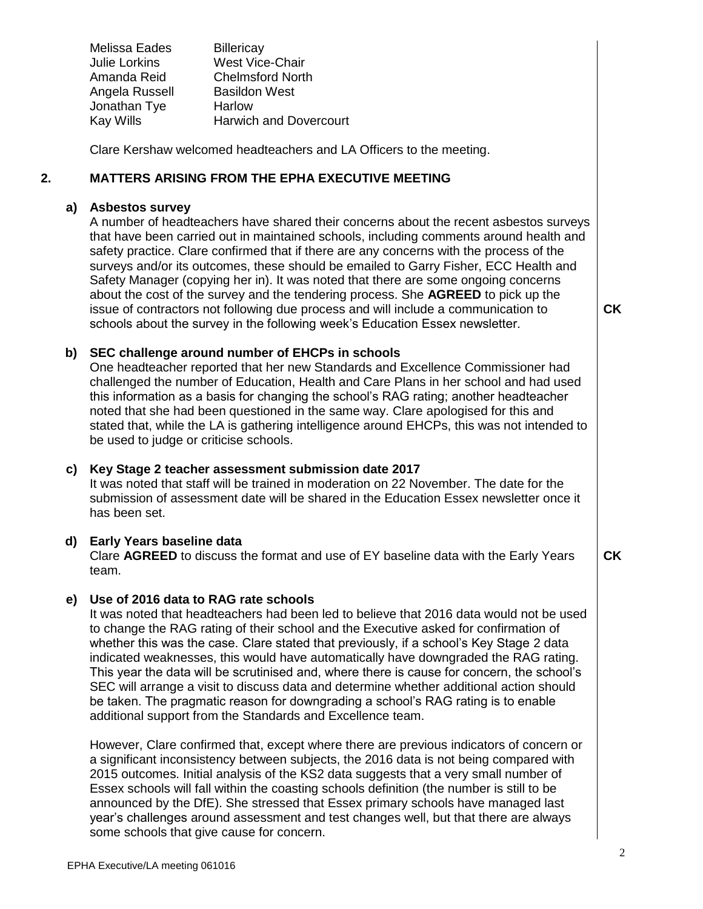Melissa Eades Billericay Julie Lorkins West Vice-Chair Amanda Reid Chelmsford North Angela Russell Basildon West Jonathan Tye Harlow Kay Wills **Harwich and Dovercourt** 

Clare Kershaw welcomed headteachers and LA Officers to the meeting.

#### **2. MATTERS ARISING FROM THE EPHA EXECUTIVE MEETING**

## **a) Asbestos survey**

A number of headteachers have shared their concerns about the recent asbestos surveys that have been carried out in maintained schools, including comments around health and safety practice. Clare confirmed that if there are any concerns with the process of the surveys and/or its outcomes, these should be emailed to Garry Fisher, ECC Health and Safety Manager (copying her in). It was noted that there are some ongoing concerns about the cost of the survey and the tendering process. She **AGREED** to pick up the issue of contractors not following due process and will include a communication to schools about the survey in the following week's Education Essex newsletter.

**CK**

**CK**

# **b) SEC challenge around number of EHCPs in schools**

One headteacher reported that her new Standards and Excellence Commissioner had challenged the number of Education, Health and Care Plans in her school and had used this information as a basis for changing the school's RAG rating; another headteacher noted that she had been questioned in the same way. Clare apologised for this and stated that, while the LA is gathering intelligence around EHCPs, this was not intended to be used to judge or criticise schools.

# **c) Key Stage 2 teacher assessment submission date 2017**

It was noted that staff will be trained in moderation on 22 November. The date for the submission of assessment date will be shared in the Education Essex newsletter once it has been set.

# **d) Early Years baseline data**

Clare **AGREED** to discuss the format and use of EY baseline data with the Early Years team.

# **e) Use of 2016 data to RAG rate schools**

It was noted that headteachers had been led to believe that 2016 data would not be used to change the RAG rating of their school and the Executive asked for confirmation of whether this was the case. Clare stated that previously, if a school's Key Stage 2 data indicated weaknesses, this would have automatically have downgraded the RAG rating. This year the data will be scrutinised and, where there is cause for concern, the school's SEC will arrange a visit to discuss data and determine whether additional action should be taken. The pragmatic reason for downgrading a school's RAG rating is to enable additional support from the Standards and Excellence team.

However, Clare confirmed that, except where there are previous indicators of concern or a significant inconsistency between subjects, the 2016 data is not being compared with 2015 outcomes. Initial analysis of the KS2 data suggests that a very small number of Essex schools will fall within the coasting schools definition (the number is still to be announced by the DfE). She stressed that Essex primary schools have managed last year's challenges around assessment and test changes well, but that there are always some schools that give cause for concern.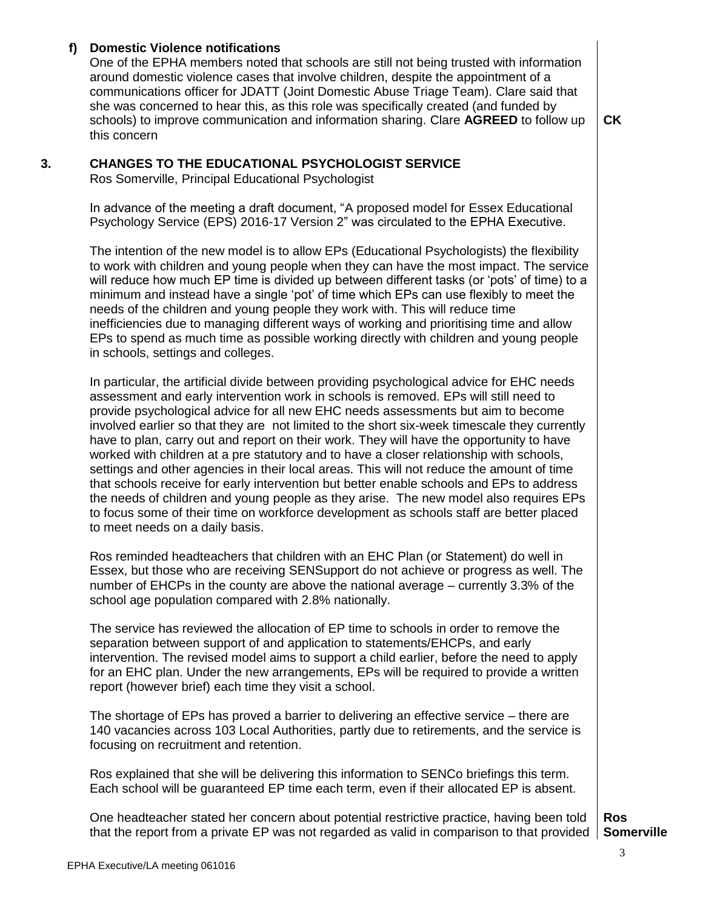# **f) Domestic Violence notifications**

One of the EPHA members noted that schools are still not being trusted with information around domestic violence cases that involve children, despite the appointment of a communications officer for JDATT (Joint Domestic Abuse Triage Team). Clare said that she was concerned to hear this, as this role was specifically created (and funded by schools) to improve communication and information sharing. Clare **AGREED** to follow up this concern

**CK**

## **3. CHANGES TO THE EDUCATIONAL PSYCHOLOGIST SERVICE**

Ros Somerville, Principal Educational Psychologist

In advance of the meeting a draft document, "A proposed model for Essex Educational Psychology Service (EPS) 2016-17 Version 2" was circulated to the EPHA Executive.

The intention of the new model is to allow EPs (Educational Psychologists) the flexibility to work with children and young people when they can have the most impact. The service will reduce how much EP time is divided up between different tasks (or 'pots' of time) to a minimum and instead have a single 'pot' of time which EPs can use flexibly to meet the needs of the children and young people they work with. This will reduce time inefficiencies due to managing different ways of working and prioritising time and allow EPs to spend as much time as possible working directly with children and young people in schools, settings and colleges.

In particular, the artificial divide between providing psychological advice for EHC needs assessment and early intervention work in schools is removed. EPs will still need to provide psychological advice for all new EHC needs assessments but aim to become involved earlier so that they are not limited to the short six-week timescale they currently have to plan, carry out and report on their work. They will have the opportunity to have worked with children at a pre statutory and to have a closer relationship with schools, settings and other agencies in their local areas. This will not reduce the amount of time that schools receive for early intervention but better enable schools and EPs to address the needs of children and young people as they arise. The new model also requires EPs to focus some of their time on workforce development as schools staff are better placed to meet needs on a daily basis.

Ros reminded headteachers that children with an EHC Plan (or Statement) do well in Essex, but those who are receiving SENSupport do not achieve or progress as well. The number of EHCPs in the county are above the national average – currently 3.3% of the school age population compared with 2.8% nationally.

The service has reviewed the allocation of EP time to schools in order to remove the separation between support of and application to statements/EHCPs, and early intervention. The revised model aims to support a child earlier, before the need to apply for an EHC plan. Under the new arrangements, EPs will be required to provide a written report (however brief) each time they visit a school.

The shortage of EPs has proved a barrier to delivering an effective service – there are 140 vacancies across 103 Local Authorities, partly due to retirements, and the service is focusing on recruitment and retention.

Ros explained that she will be delivering this information to SENCo briefings this term. Each school will be guaranteed EP time each term, even if their allocated EP is absent.

One headteacher stated her concern about potential restrictive practice, having been told that the report from a private EP was not regarded as valid in comparison to that provided

**Ros Somerville**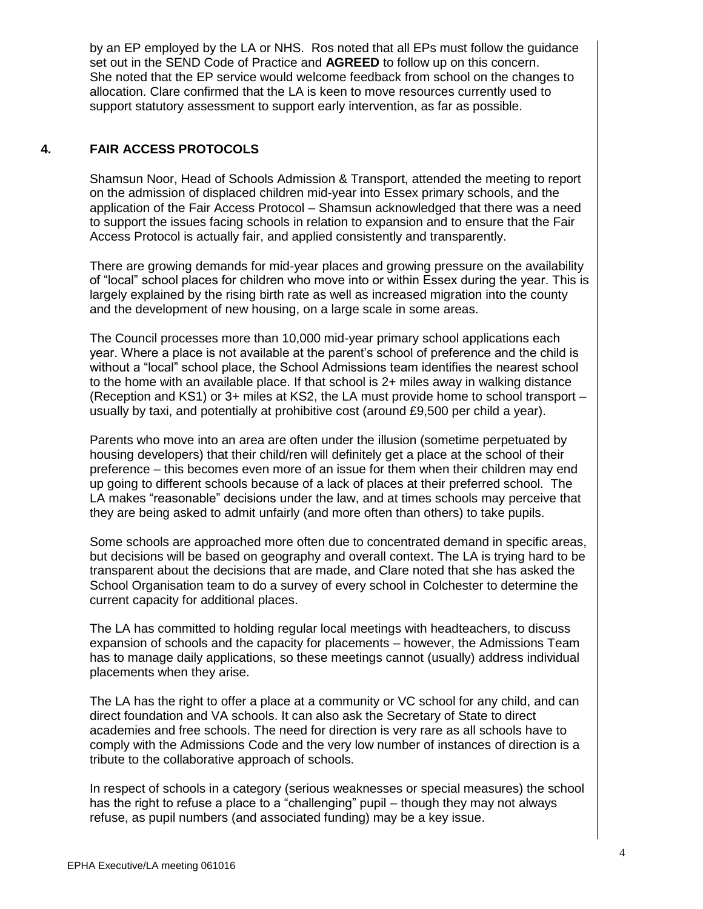by an EP employed by the LA or NHS. Ros noted that all EPs must follow the guidance set out in the SEND Code of Practice and **AGREED** to follow up on this concern. She noted that the EP service would welcome feedback from school on the changes to allocation. Clare confirmed that the LA is keen to move resources currently used to support statutory assessment to support early intervention, as far as possible.

# **4. FAIR ACCESS PROTOCOLS**

Shamsun Noor, Head of Schools Admission & Transport, attended the meeting to report on the admission of displaced children mid-year into Essex primary schools, and the application of the Fair Access Protocol – Shamsun acknowledged that there was a need to support the issues facing schools in relation to expansion and to ensure that the Fair Access Protocol is actually fair, and applied consistently and transparently.

There are growing demands for mid-year places and growing pressure on the availability of "local" school places for children who move into or within Essex during the year. This is largely explained by the rising birth rate as well as increased migration into the county and the development of new housing, on a large scale in some areas.

The Council processes more than 10,000 mid-year primary school applications each year. Where a place is not available at the parent's school of preference and the child is without a "local" school place, the School Admissions team identifies the nearest school to the home with an available place. If that school is 2+ miles away in walking distance (Reception and KS1) or 3+ miles at KS2, the LA must provide home to school transport – usually by taxi, and potentially at prohibitive cost (around £9,500 per child a year).

Parents who move into an area are often under the illusion (sometime perpetuated by housing developers) that their child/ren will definitely get a place at the school of their preference – this becomes even more of an issue for them when their children may end up going to different schools because of a lack of places at their preferred school. The LA makes "reasonable" decisions under the law, and at times schools may perceive that they are being asked to admit unfairly (and more often than others) to take pupils.

Some schools are approached more often due to concentrated demand in specific areas, but decisions will be based on geography and overall context. The LA is trying hard to be transparent about the decisions that are made, and Clare noted that she has asked the School Organisation team to do a survey of every school in Colchester to determine the current capacity for additional places.

The LA has committed to holding regular local meetings with headteachers, to discuss expansion of schools and the capacity for placements – however, the Admissions Team has to manage daily applications, so these meetings cannot (usually) address individual placements when they arise.

The LA has the right to offer a place at a community or VC school for any child, and can direct foundation and VA schools. It can also ask the Secretary of State to direct academies and free schools. The need for direction is very rare as all schools have to comply with the Admissions Code and the very low number of instances of direction is a tribute to the collaborative approach of schools.

In respect of schools in a category (serious weaknesses or special measures) the school has the right to refuse a place to a "challenging" pupil – though they may not always refuse, as pupil numbers (and associated funding) may be a key issue.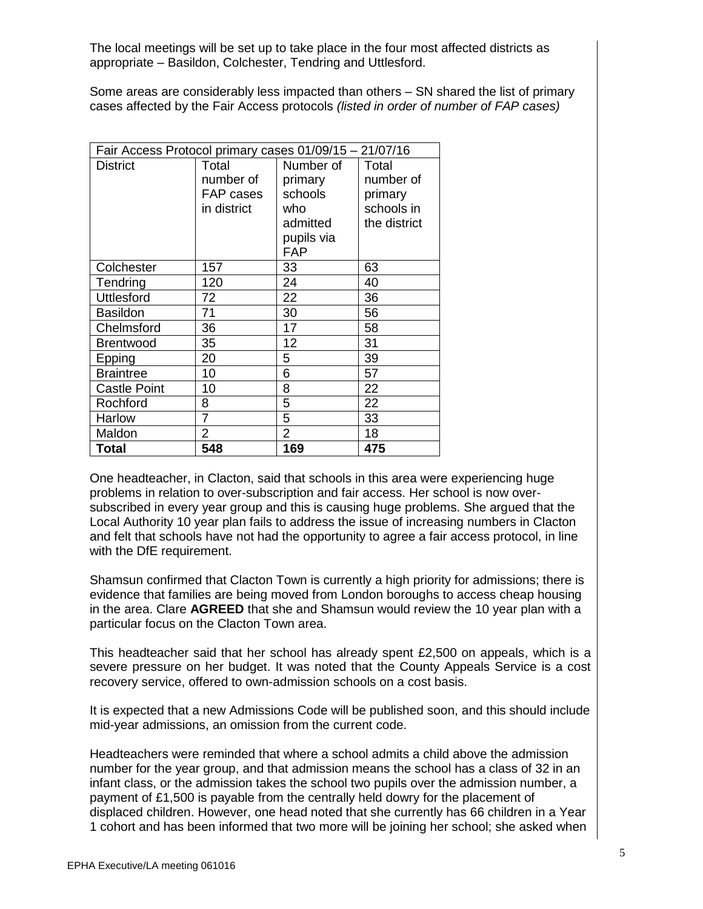The local meetings will be set up to take place in the four most affected districts as appropriate – Basildon, Colchester, Tendring and Uttlesford.

Some areas are considerably less impacted than others – SN shared the list of primary cases affected by the Fair Access protocols *(listed in order of number of FAP cases)* 

| Fair Access Protocol primary cases 01/09/15 - 21/07/16 |                |                |              |
|--------------------------------------------------------|----------------|----------------|--------------|
| <b>District</b>                                        | Total          | Number of      | Total        |
|                                                        | number of      | primary        | number of    |
|                                                        | FAP cases      | schools        | primary      |
|                                                        | in district    | who            | schools in   |
|                                                        |                | admitted       | the district |
|                                                        |                | pupils via     |              |
|                                                        |                | <b>FAP</b>     |              |
| Colchester                                             | 157            | 33             | 63           |
| Tendring                                               | 120            | 24             | 40           |
| <b>Uttlesford</b>                                      | 72             | 22             | 36           |
| <b>Basildon</b>                                        | 71             | 30             | 56           |
| Chelmsford                                             | 36             | 17             | 58           |
| <b>Brentwood</b>                                       | 35             | 12             | 31           |
| Epping                                                 | 20             | 5              | 39           |
| <b>Braintree</b>                                       | 10             | 6              | 57           |
| <b>Castle Point</b>                                    | 10             | 8              | 22           |
| Rochford                                               | 8              | 5              | 22           |
| Harlow                                                 | $\overline{7}$ | 5              | 33           |
| Maldon                                                 | $\overline{2}$ | $\overline{2}$ | 18           |
| Total                                                  | 548            | 169            | 475          |

One headteacher, in Clacton, said that schools in this area were experiencing huge problems in relation to over-subscription and fair access. Her school is now oversubscribed in every year group and this is causing huge problems. She argued that the Local Authority 10 year plan fails to address the issue of increasing numbers in Clacton and felt that schools have not had the opportunity to agree a fair access protocol, in line with the DfE requirement.

Shamsun confirmed that Clacton Town is currently a high priority for admissions; there is evidence that families are being moved from London boroughs to access cheap housing in the area. Clare **AGREED** that she and Shamsun would review the 10 year plan with a particular focus on the Clacton Town area.

This headteacher said that her school has already spent £2,500 on appeals, which is a severe pressure on her budget. It was noted that the County Appeals Service is a cost recovery service, offered to own-admission schools on a cost basis.

It is expected that a new Admissions Code will be published soon, and this should include mid-year admissions, an omission from the current code.

Headteachers were reminded that where a school admits a child above the admission number for the year group, and that admission means the school has a class of 32 in an infant class, or the admission takes the school two pupils over the admission number, a payment of £1,500 is payable from the centrally held dowry for the placement of displaced children. However, one head noted that she currently has 66 children in a Year 1 cohort and has been informed that two more will be joining her school; she asked when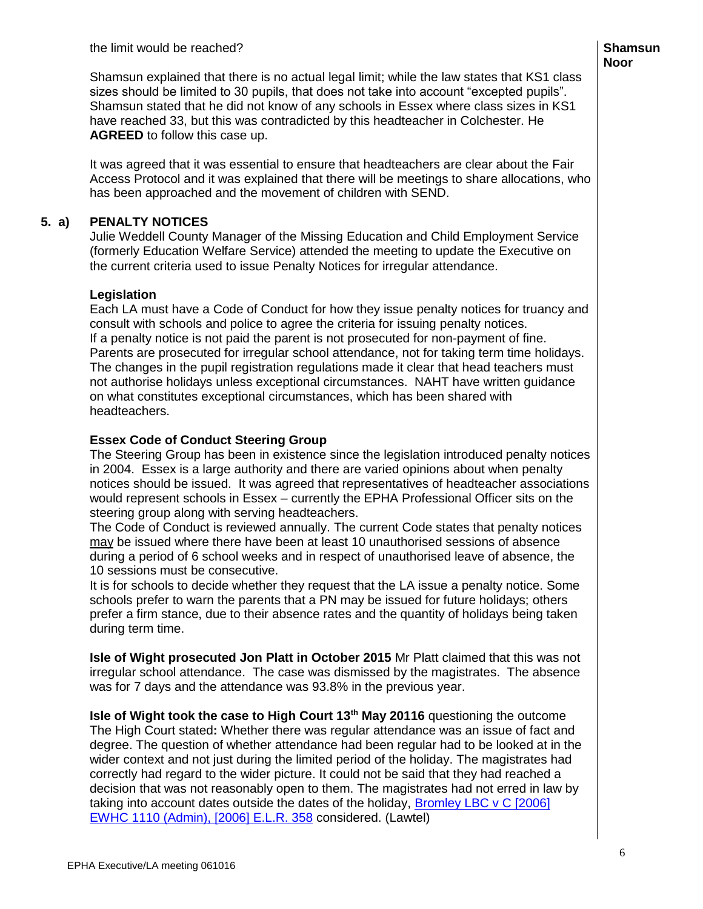Shamsun explained that there is no actual legal limit; while the law states that KS1 class sizes should be limited to 30 pupils, that does not take into account "excepted pupils". Shamsun stated that he did not know of any schools in Essex where class sizes in KS1 have reached 33, but this was contradicted by this headteacher in Colchester. He **AGREED** to follow this case up.

It was agreed that it was essential to ensure that headteachers are clear about the Fair Access Protocol and it was explained that there will be meetings to share allocations, who has been approached and the movement of children with SEND.

# **5. a) PENALTY NOTICES**

Julie Weddell County Manager of the Missing Education and Child Employment Service (formerly Education Welfare Service) attended the meeting to update the Executive on the current criteria used to issue Penalty Notices for irregular attendance.

## **Legislation**

Each LA must have a Code of Conduct for how they issue penalty notices for truancy and consult with schools and police to agree the criteria for issuing penalty notices. If a penalty notice is not paid the parent is not prosecuted for non-payment of fine. Parents are prosecuted for irregular school attendance, not for taking term time holidays. The changes in the pupil registration regulations made it clear that head teachers must not authorise holidays unless exceptional circumstances. NAHT have written guidance on what constitutes exceptional circumstances, which has been shared with headteachers.

## **Essex Code of Conduct Steering Group**

The Steering Group has been in existence since the legislation introduced penalty notices in 2004. Essex is a large authority and there are varied opinions about when penalty notices should be issued. It was agreed that representatives of headteacher associations would represent schools in Essex – currently the EPHA Professional Officer sits on the steering group along with serving headteachers.

The Code of Conduct is reviewed annually. The current Code states that penalty notices may be issued where there have been at least 10 unauthorised sessions of absence during a period of 6 school weeks and in respect of unauthorised leave of absence, the 10 sessions must be consecutive.

It is for schools to decide whether they request that the LA issue a penalty notice. Some schools prefer to warn the parents that a PN may be issued for future holidays; others prefer a firm stance, due to their absence rates and the quantity of holidays being taken during term time.

**Isle of Wight prosecuted Jon Platt in October 2015** Mr Platt claimed that this was not irregular school attendance. The case was dismissed by the magistrates. The absence was for 7 days and the attendance was 93.8% in the previous year.

**Isle of Wight took the case to High Court 13th May 20116** questioning the outcome The High Court stated**:** Whether there was regular attendance was an issue of fact and degree. The question of whether attendance had been regular had to be looked at in the wider context and not just during the limited period of the holiday. The magistrates had correctly had regard to the wider picture. It could not be said that they had reached a decision that was not reasonably open to them. The magistrates had not erred in law by taking into account dates outside the dates of the holiday, [Bromley LBC v C \[2006\]](https://www.lawtel.com/MyLawtel/Documents/AC9501307)  [EWHC 1110 \(Admin\), \[2006\] E.L.R. 358](https://www.lawtel.com/MyLawtel/Documents/AC9501307) considered. (Lawtel)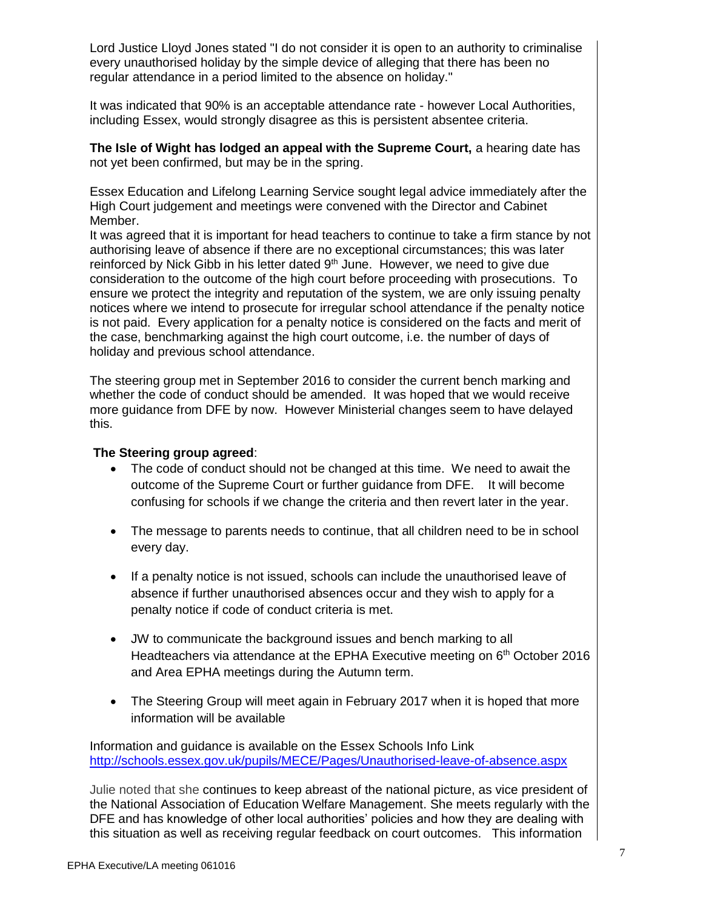Lord Justice Lloyd Jones stated "I do not consider it is open to an authority to criminalise every unauthorised holiday by the simple device of alleging that there has been no regular attendance in a period limited to the absence on holiday."

It was indicated that 90% is an acceptable attendance rate - however Local Authorities, including Essex, would strongly disagree as this is persistent absentee criteria.

**The Isle of Wight has lodged an appeal with the Supreme Court,** a hearing date has not yet been confirmed, but may be in the spring.

Essex Education and Lifelong Learning Service sought legal advice immediately after the High Court judgement and meetings were convened with the Director and Cabinet Member.

It was agreed that it is important for head teachers to continue to take a firm stance by not authorising leave of absence if there are no exceptional circumstances; this was later reinforced by Nick Gibb in his letter dated  $9<sup>th</sup>$  June. However, we need to give due consideration to the outcome of the high court before proceeding with prosecutions. To ensure we protect the integrity and reputation of the system, we are only issuing penalty notices where we intend to prosecute for irregular school attendance if the penalty notice is not paid. Every application for a penalty notice is considered on the facts and merit of the case, benchmarking against the high court outcome, i.e. the number of days of holiday and previous school attendance.

The steering group met in September 2016 to consider the current bench marking and whether the code of conduct should be amended. It was hoped that we would receive more guidance from DFE by now. However Ministerial changes seem to have delayed this.

#### **The Steering group agreed**:

- The code of conduct should not be changed at this time. We need to await the outcome of the Supreme Court or further guidance from DFE. It will become confusing for schools if we change the criteria and then revert later in the year.
- The message to parents needs to continue, that all children need to be in school every day.
- If a penalty notice is not issued, schools can include the unauthorised leave of absence if further unauthorised absences occur and they wish to apply for a penalty notice if code of conduct criteria is met.
- JW to communicate the background issues and bench marking to all Headteachers via attendance at the EPHA Executive meeting on 6<sup>th</sup> October 2016 and Area EPHA meetings during the Autumn term.
- The Steering Group will meet again in February 2017 when it is hoped that more information will be available

Information and guidance is available on the Essex Schools Info Link <http://schools.essex.gov.uk/pupils/MECE/Pages/Unauthorised-leave-of-absence.aspx>

Julie noted that she continues to keep abreast of the national picture, as vice president of the National Association of Education Welfare Management. She meets regularly with the DFE and has knowledge of other local authorities' policies and how they are dealing with this situation as well as receiving regular feedback on court outcomes. This information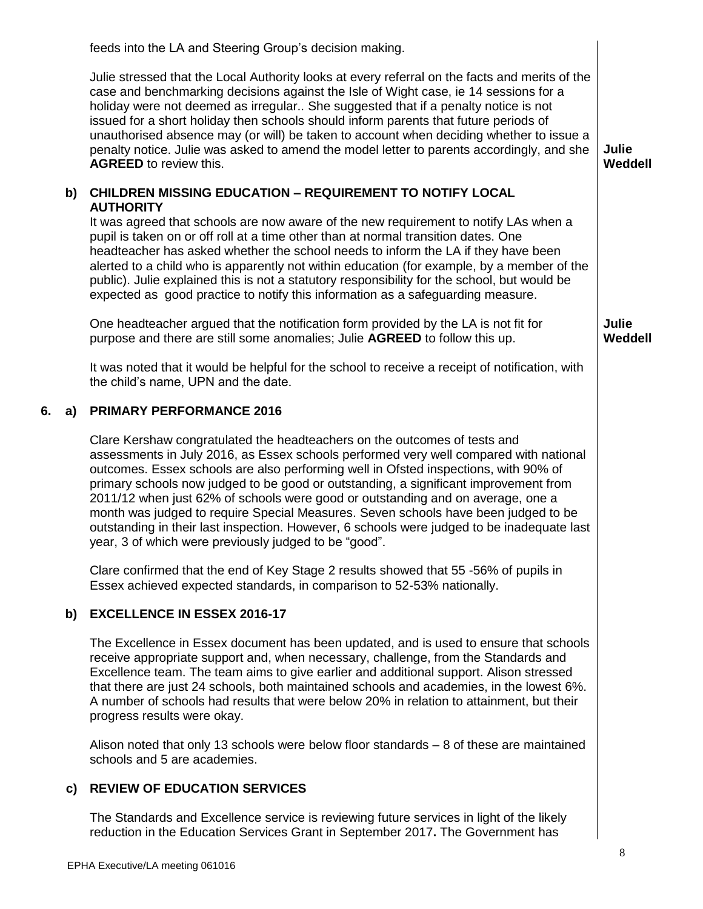feeds into the LA and Steering Group's decision making.

Julie stressed that the Local Authority looks at every referral on the facts and merits of the case and benchmarking decisions against the Isle of Wight case, ie 14 sessions for a holiday were not deemed as irregular.. She suggested that if a penalty notice is not issued for a short holiday then schools should inform parents that future periods of unauthorised absence may (or will) be taken to account when deciding whether to issue a penalty notice. Julie was asked to amend the model letter to parents accordingly, and she **AGREED** to review this.

# **b) CHILDREN MISSING EDUCATION – REQUIREMENT TO NOTIFY LOCAL AUTHORITY**

It was agreed that schools are now aware of the new requirement to notify LAs when a pupil is taken on or off roll at a time other than at normal transition dates. One headteacher has asked whether the school needs to inform the LA if they have been alerted to a child who is apparently not within education (for example, by a member of the public). Julie explained this is not a statutory responsibility for the school, but would be expected as good practice to notify this information as a safeguarding measure.

One headteacher argued that the notification form provided by the LA is not fit for purpose and there are still some anomalies; Julie **AGREED** to follow this up.

It was noted that it would be helpful for the school to receive a receipt of notification, with the child's name, UPN and the date.

# **6. a) PRIMARY PERFORMANCE 2016**

Clare Kershaw congratulated the headteachers on the outcomes of tests and assessments in July 2016, as Essex schools performed very well compared with national outcomes. Essex schools are also performing well in Ofsted inspections, with 90% of primary schools now judged to be good or outstanding, a significant improvement from 2011/12 when just 62% of schools were good or outstanding and on average, one a month was judged to require Special Measures. Seven schools have been judged to be outstanding in their last inspection. However, 6 schools were judged to be inadequate last year, 3 of which were previously judged to be "good".

Clare confirmed that the end of Key Stage 2 results showed that 55 -56% of pupils in Essex achieved expected standards, in comparison to 52-53% nationally.

#### **b) EXCELLENCE IN ESSEX 2016-17**

The Excellence in Essex document has been updated, and is used to ensure that schools receive appropriate support and, when necessary, challenge, from the Standards and Excellence team. The team aims to give earlier and additional support. Alison stressed that there are just 24 schools, both maintained schools and academies, in the lowest 6%. A number of schools had results that were below 20% in relation to attainment, but their progress results were okay.

Alison noted that only 13 schools were below floor standards – 8 of these are maintained schools and 5 are academies.

# **c) REVIEW OF EDUCATION SERVICES**

The Standards and Excellence service is reviewing future services in light of the likely reduction in the Education Services Grant in September 2017**.** The Government has

**Julie Weddell**

**Julie Weddell**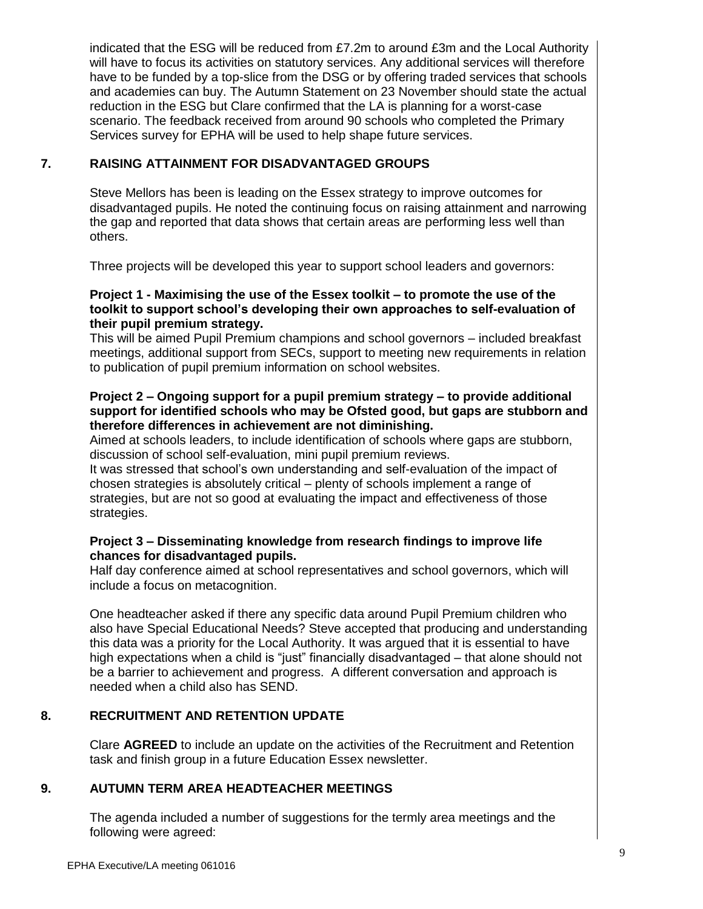indicated that the ESG will be reduced from £7.2m to around £3m and the Local Authority will have to focus its activities on statutory services. Any additional services will therefore have to be funded by a top-slice from the DSG or by offering traded services that schools and academies can buy. The Autumn Statement on 23 November should state the actual reduction in the ESG but Clare confirmed that the LA is planning for a worst-case scenario. The feedback received from around 90 schools who completed the Primary Services survey for EPHA will be used to help shape future services.

# **7. RAISING ATTAINMENT FOR DISADVANTAGED GROUPS**

Steve Mellors has been is leading on the Essex strategy to improve outcomes for disadvantaged pupils. He noted the continuing focus on raising attainment and narrowing the gap and reported that data shows that certain areas are performing less well than others.

Three projects will be developed this year to support school leaders and governors:

# **Project 1 - Maximising the use of the Essex toolkit – to promote the use of the toolkit to support school's developing their own approaches to self-evaluation of their pupil premium strategy.**

This will be aimed Pupil Premium champions and school governors – included breakfast meetings, additional support from SECs, support to meeting new requirements in relation to publication of pupil premium information on school websites.

## **Project 2 – Ongoing support for a pupil premium strategy – to provide additional support for identified schools who may be Ofsted good, but gaps are stubborn and therefore differences in achievement are not diminishing.**

Aimed at schools leaders, to include identification of schools where gaps are stubborn, discussion of school self-evaluation, mini pupil premium reviews.

It was stressed that school's own understanding and self-evaluation of the impact of chosen strategies is absolutely critical – plenty of schools implement a range of strategies, but are not so good at evaluating the impact and effectiveness of those strategies.

# **Project 3 – Disseminating knowledge from research findings to improve life chances for disadvantaged pupils.**

Half day conference aimed at school representatives and school governors, which will include a focus on metacognition.

One headteacher asked if there any specific data around Pupil Premium children who also have Special Educational Needs? Steve accepted that producing and understanding this data was a priority for the Local Authority. It was argued that it is essential to have high expectations when a child is "just" financially disadvantaged – that alone should not be a barrier to achievement and progress. A different conversation and approach is needed when a child also has SEND.

# **8. RECRUITMENT AND RETENTION UPDATE**

Clare **AGREED** to include an update on the activities of the Recruitment and Retention task and finish group in a future Education Essex newsletter.

# **9. AUTUMN TERM AREA HEADTEACHER MEETINGS**

The agenda included a number of suggestions for the termly area meetings and the following were agreed: